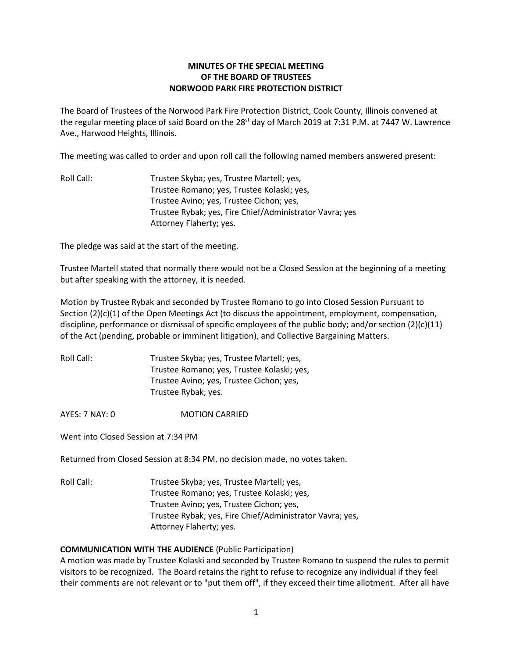# **MINUTES OF THE SPECIAL MEETING OF THE BOARD OF TRUSTEES NORWOOD PARK FIRE PROTECTION DISTRICT**

The Board of Trustees of the Norwood Park Fire Protection District, Cook County, Illinois convened at the regular meeting place of said Board on the 28<sup>st</sup> day of March 2019 at 7:31 P.M. at 7447 W. Lawrence Ave., Harwood Heights, Illinois.

The meeting was called to order and upon roll call the following named members answered present:

Roll Call: Trustee Skyba; yes, Trustee Martell; yes, Trustee Romano; yes, Trustee Kolaski; yes, Trustee Avino; yes, Trustee Cichon; yes, Trustee Rybak; yes, Fire Chief/Administrator Vavra; yes Attorney Flaherty; yes.

The pledge was said at the start of the meeting.

Trustee Martell stated that normally there would not be a Closed Session at the beginning of a meeting but after speaking with the attorney, it is needed.

Motion by Trustee Rybak and seconded by Trustee Romano to go into Closed Session Pursuant to Section (2)(c)(1) of the Open Meetings Act (to discuss the appointment, employment, compensation, discipline, performance or dismissal of specific employees of the public body; and/or section (2)(c)(11) of the Act (pending, probable or imminent litigation), and Collective Bargaining Matters.

| Roll Call: | Trustee Skyba; yes, Trustee Martell; yes,  |
|------------|--------------------------------------------|
|            | Trustee Romano; yes, Trustee Kolaski; yes, |
|            | Trustee Avino; yes, Trustee Cichon; yes,   |
|            | Trustee Rybak; yes.                        |

AYES: 7 NAY: 0 **MOTION CARRIED** 

Went into Closed Session at 7:34 PM

Returned from Closed Session at 8:34 PM, no decision made, no votes taken.

Roll Call: Trustee Skyba; yes, Trustee Martell; yes, Trustee Romano; yes, Trustee Kolaski; yes, Trustee Avino; yes, Trustee Cichon; yes, Trustee Rybak; yes, Fire Chief/Administrator Vavra; yes, Attorney Flaherty; yes.

## **COMMUNICATION WITH THE AUDIENCE** (Public Participation)

A motion was made by Trustee Kolaski and seconded by Trustee Romano to suspend the rules to permit visitors to be recognized. The Board retains the right to refuse to recognize any individual if they feel their comments are not relevant or to "put them off", if they exceed their time allotment. After all have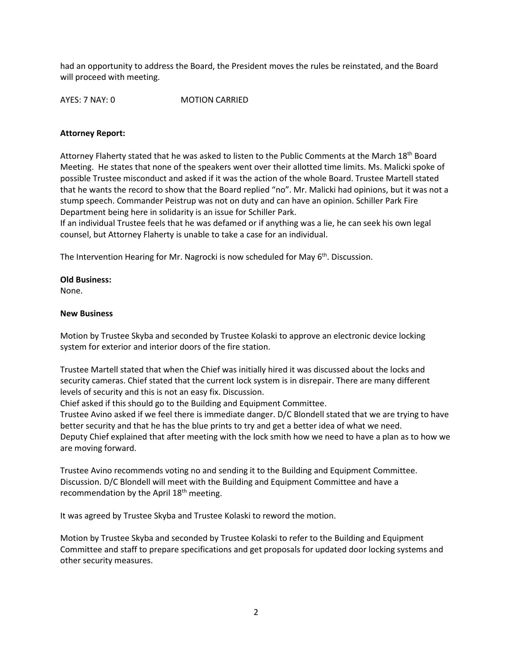had an opportunity to address the Board, the President moves the rules be reinstated, and the Board will proceed with meeting.

AYES: 7 NAY: 0 MOTION CARRIED

### **Attorney Report:**

Attorney Flaherty stated that he was asked to listen to the Public Comments at the March 18<sup>th</sup> Board Meeting. He states that none of the speakers went over their allotted time limits. Ms. Malicki spoke of possible Trustee misconduct and asked if it was the action of the whole Board. Trustee Martell stated that he wants the record to show that the Board replied "no". Mr. Malicki had opinions, but it was not a stump speech. Commander Peistrup was not on duty and can have an opinion. Schiller Park Fire Department being here in solidarity is an issue for Schiller Park.

If an individual Trustee feels that he was defamed or if anything was a lie, he can seek his own legal counsel, but Attorney Flaherty is unable to take a case for an individual.

The Intervention Hearing for Mr. Nagrocki is now scheduled for May 6<sup>th</sup>. Discussion.

## **Old Business:**

None.

#### **New Business**

Motion by Trustee Skyba and seconded by Trustee Kolaski to approve an electronic device locking system for exterior and interior doors of the fire station.

Trustee Martell stated that when the Chief was initially hired it was discussed about the locks and security cameras. Chief stated that the current lock system is in disrepair. There are many different levels of security and this is not an easy fix. Discussion.

Chief asked if this should go to the Building and Equipment Committee.

Trustee Avino asked if we feel there is immediate danger. D/C Blondell stated that we are trying to have better security and that he has the blue prints to try and get a better idea of what we need. Deputy Chief explained that after meeting with the lock smith how we need to have a plan as to how we are moving forward.

Trustee Avino recommends voting no and sending it to the Building and Equipment Committee. Discussion. D/C Blondell will meet with the Building and Equipment Committee and have a recommendation by the April 18<sup>th</sup> meeting.

It was agreed by Trustee Skyba and Trustee Kolaski to reword the motion.

Motion by Trustee Skyba and seconded by Trustee Kolaski to refer to the Building and Equipment Committee and staff to prepare specifications and get proposals for updated door locking systems and other security measures.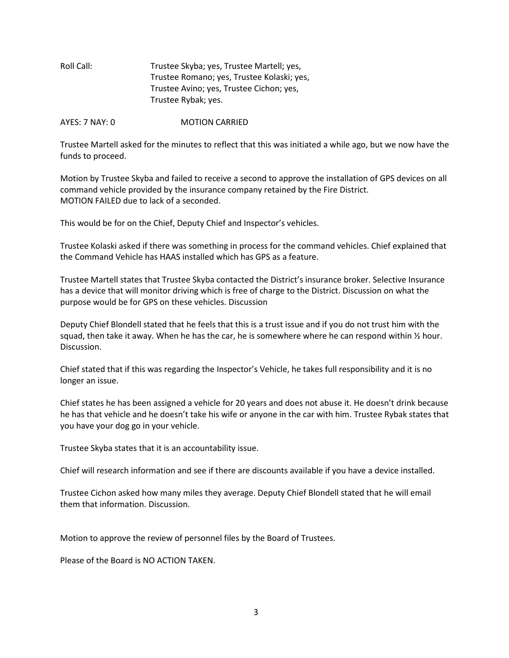Roll Call: Trustee Skyba; yes, Trustee Martell; yes, Trustee Romano; yes, Trustee Kolaski; yes, Trustee Avino; yes, Trustee Cichon; yes, Trustee Rybak; yes.

AYES: 7 NAY: 0 MOTION CARRIED

Trustee Martell asked for the minutes to reflect that this was initiated a while ago, but we now have the funds to proceed.

Motion by Trustee Skyba and failed to receive a second to approve the installation of GPS devices on all command vehicle provided by the insurance company retained by the Fire District. MOTION FAILED due to lack of a seconded.

This would be for on the Chief, Deputy Chief and Inspector's vehicles.

Trustee Kolaski asked if there was something in process for the command vehicles. Chief explained that the Command Vehicle has HAAS installed which has GPS as a feature.

Trustee Martell states that Trustee Skyba contacted the District's insurance broker. Selective Insurance has a device that will monitor driving which is free of charge to the District. Discussion on what the purpose would be for GPS on these vehicles. Discussion

Deputy Chief Blondell stated that he feels that this is a trust issue and if you do not trust him with the squad, then take it away. When he has the car, he is somewhere where he can respond within  $\frac{1}{2}$  hour. Discussion.

Chief stated that if this was regarding the Inspector's Vehicle, he takes full responsibility and it is no longer an issue.

Chief states he has been assigned a vehicle for 20 years and does not abuse it. He doesn't drink because he has that vehicle and he doesn't take his wife or anyone in the car with him. Trustee Rybak states that you have your dog go in your vehicle.

Trustee Skyba states that it is an accountability issue.

Chief will research information and see if there are discounts available if you have a device installed.

Trustee Cichon asked how many miles they average. Deputy Chief Blondell stated that he will email them that information. Discussion.

Motion to approve the review of personnel files by the Board of Trustees.

Please of the Board is NO ACTION TAKEN.